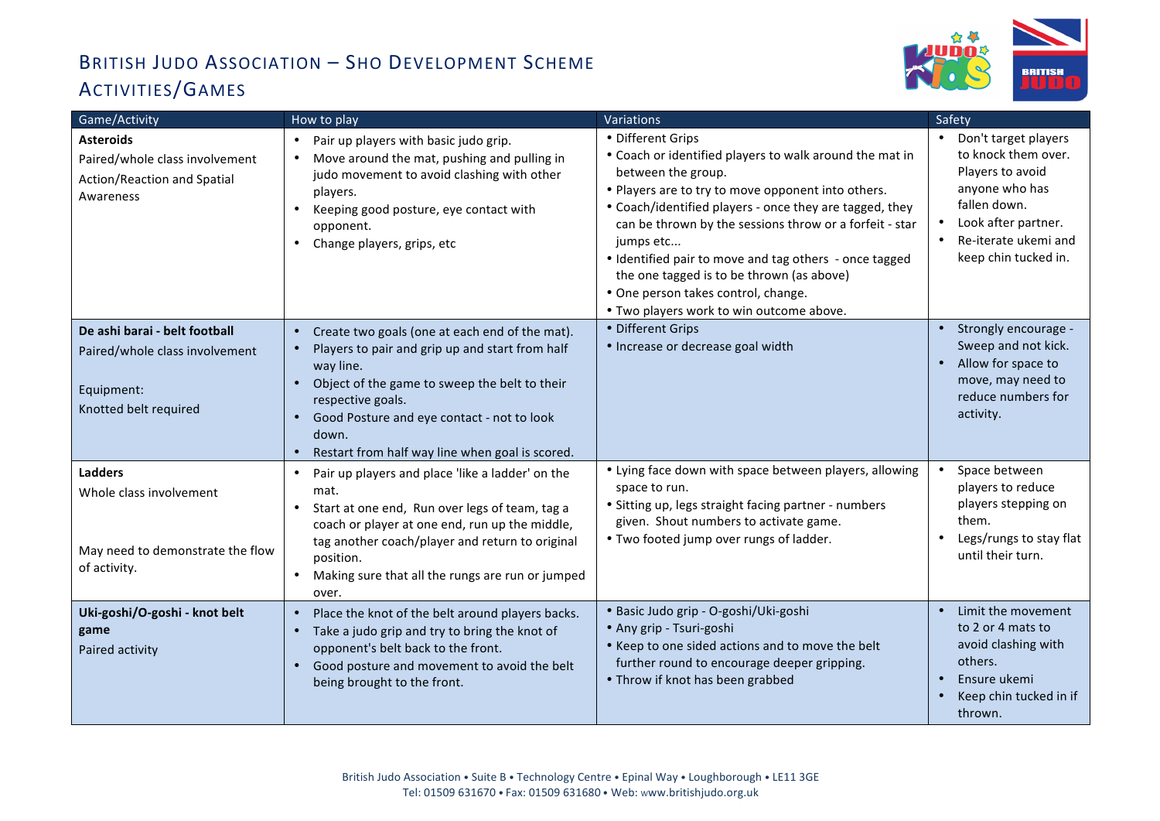## BRITISH JUDO ASSOCIATION - SHO DEVELOPMENT SCHEME ACTIVITIES/GAMES



| Game/Activity                                                                                          | How to play                                                                                                                                                                                                                                                                                                                                        | Variations                                                                                                                                                                                                                                                                                                                                                                                                                                                                            | Safety                                                                                                                                                                   |
|--------------------------------------------------------------------------------------------------------|----------------------------------------------------------------------------------------------------------------------------------------------------------------------------------------------------------------------------------------------------------------------------------------------------------------------------------------------------|---------------------------------------------------------------------------------------------------------------------------------------------------------------------------------------------------------------------------------------------------------------------------------------------------------------------------------------------------------------------------------------------------------------------------------------------------------------------------------------|--------------------------------------------------------------------------------------------------------------------------------------------------------------------------|
| <b>Asteroids</b><br>Paired/whole class involvement<br>Action/Reaction and Spatial<br>Awareness         | Pair up players with basic judo grip.<br>$\bullet$<br>Move around the mat, pushing and pulling in<br>$\bullet$<br>judo movement to avoid clashing with other<br>players.<br>Keeping good posture, eye contact with<br>$\bullet$<br>opponent.<br>Change players, grips, etc<br>$\bullet$                                                            | • Different Grips<br>• Coach or identified players to walk around the mat in<br>between the group.<br>• Players are to try to move opponent into others.<br>• Coach/identified players - once they are tagged, they<br>can be thrown by the sessions throw or a forfeit - star<br>jumps etc<br>• Identified pair to move and tag others - once tagged<br>the one tagged is to be thrown (as above)<br>• One person takes control, change.<br>• Two players work to win outcome above. | Don't target players<br>to knock them over.<br>Players to avoid<br>anyone who has<br>fallen down.<br>Look after partner.<br>Re-iterate ukemi and<br>keep chin tucked in. |
| De ashi barai - belt football<br>Paired/whole class involvement<br>Equipment:<br>Knotted belt required | Create two goals (one at each end of the mat).<br>$\bullet$<br>Players to pair and grip up and start from half<br>$\bullet$<br>way line.<br>Object of the game to sweep the belt to their<br>$\bullet$<br>respective goals.<br>Good Posture and eye contact - not to look<br>$\bullet$<br>down.<br>Restart from half way line when goal is scored. | • Different Grips<br>· Increase or decrease goal width                                                                                                                                                                                                                                                                                                                                                                                                                                | Strongly encourage -<br>Sweep and not kick.<br>Allow for space to<br>move, may need to<br>reduce numbers for<br>activity.                                                |
| <b>Ladders</b><br>Whole class involvement<br>May need to demonstrate the flow<br>of activity.          | Pair up players and place 'like a ladder' on the<br>$\bullet$<br>mat.<br>Start at one end, Run over legs of team, tag a<br>$\bullet$<br>coach or player at one end, run up the middle,<br>tag another coach/player and return to original<br>position.<br>Making sure that all the rungs are run or jumped<br>$\bullet$<br>over.                   | • Lying face down with space between players, allowing<br>space to run.<br>• Sitting up, legs straight facing partner - numbers<br>given. Shout numbers to activate game.<br>• Two footed jump over rungs of ladder.                                                                                                                                                                                                                                                                  | Space between<br>players to reduce<br>players stepping on<br>them.<br>Legs/rungs to stay flat<br>$\bullet$<br>until their turn.                                          |
| Uki-goshi/O-goshi - knot belt<br>game<br>Paired activity                                               | Place the knot of the belt around players backs.<br>$\bullet$<br>Take a judo grip and try to bring the knot of<br>$\bullet$<br>opponent's belt back to the front.<br>Good posture and movement to avoid the belt<br>$\bullet$<br>being brought to the front.                                                                                       | · Basic Judo grip - O-goshi/Uki-goshi<br>· Any grip - Tsuri-goshi<br>• Keep to one sided actions and to move the belt<br>further round to encourage deeper gripping.<br>• Throw if knot has been grabbed                                                                                                                                                                                                                                                                              | Limit the movement<br>to 2 or 4 mats to<br>avoid clashing with<br>others.<br>Ensure ukemi<br>$\bullet$<br>Keep chin tucked in if<br>thrown.                              |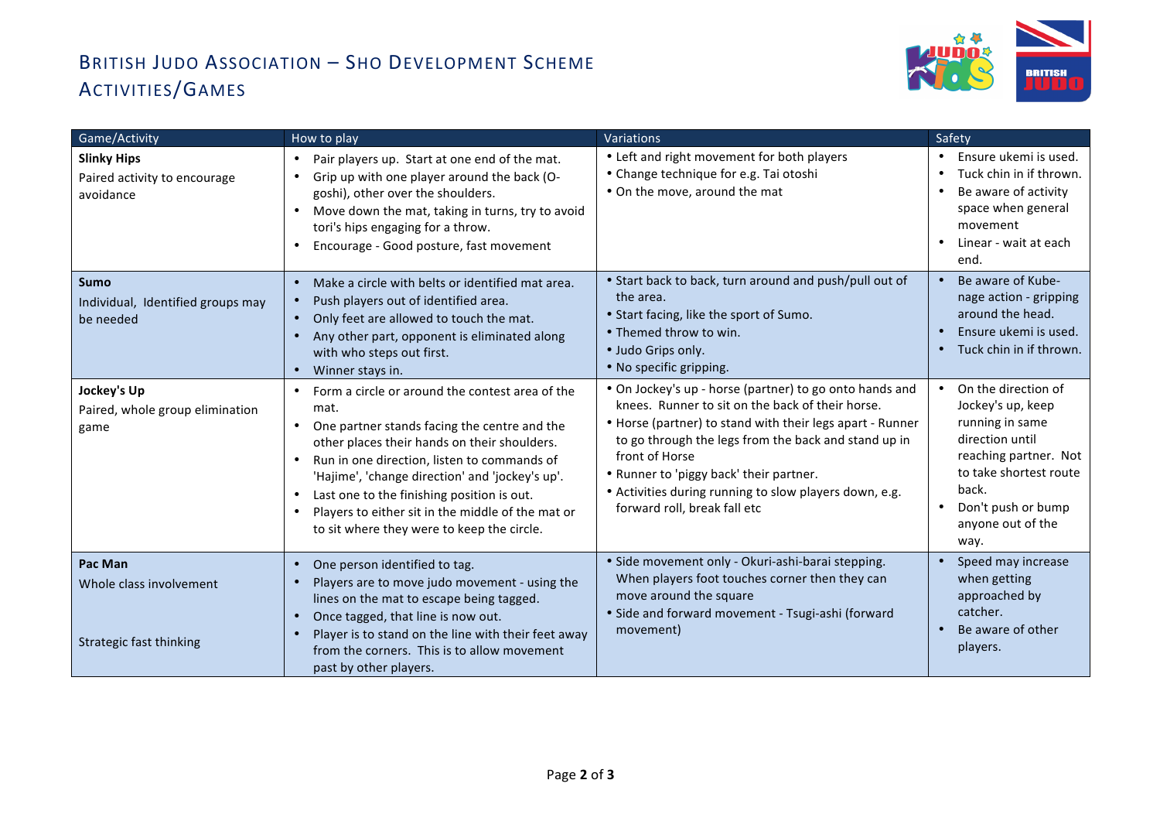## BRITISH JUDO ASSOCIATION - SHO DEVELOPMENT SCHEME ACTIVITIES/GAMES



| Game/Activity                                                   | How to play                                                                                                                                                                                                                                                                                                                                                                                                                          | <b>Variations</b>                                                                                                                                                                                                                                                                                                                                                                       | Safety                                                                                                                                                                                        |
|-----------------------------------------------------------------|--------------------------------------------------------------------------------------------------------------------------------------------------------------------------------------------------------------------------------------------------------------------------------------------------------------------------------------------------------------------------------------------------------------------------------------|-----------------------------------------------------------------------------------------------------------------------------------------------------------------------------------------------------------------------------------------------------------------------------------------------------------------------------------------------------------------------------------------|-----------------------------------------------------------------------------------------------------------------------------------------------------------------------------------------------|
| <b>Slinky Hips</b><br>Paired activity to encourage<br>avoidance | Pair players up. Start at one end of the mat.<br>$\bullet$<br>Grip up with one player around the back (O-<br>$\bullet$<br>goshi), other over the shoulders.<br>Move down the mat, taking in turns, try to avoid<br>$\bullet$<br>tori's hips engaging for a throw.<br>Encourage - Good posture, fast movement                                                                                                                         | • Left and right movement for both players<br>• Change technique for e.g. Tai otoshi<br>• On the move, around the mat                                                                                                                                                                                                                                                                   | Ensure ukemi is used.<br>Tuck chin in if thrown.<br>$\bullet$<br>Be aware of activity<br>space when general<br>movement<br>Linear - wait at each<br>end.                                      |
| <b>Sumo</b><br>Individual, Identified groups may<br>be needed   | Make a circle with belts or identified mat area.<br>$\bullet$<br>Push players out of identified area.<br>$\bullet$<br>Only feet are allowed to touch the mat.<br>$\bullet$<br>Any other part, opponent is eliminated along<br>$\bullet$<br>with who steps out first.<br>Winner stays in.<br>$\bullet$                                                                                                                                | • Start back to back, turn around and push/pull out of<br>the area.<br>• Start facing, like the sport of Sumo.<br>• Themed throw to win.<br>· Judo Grips only.<br>• No specific gripping.                                                                                                                                                                                               | Be aware of Kube-<br>nage action - gripping<br>around the head.<br>Ensure ukemi is used.<br>Tuck chin in if thrown.                                                                           |
| Jockey's Up<br>Paired, whole group elimination<br>game          | Form a circle or around the contest area of the<br>mat.<br>One partner stands facing the centre and the<br>$\bullet$<br>other places their hands on their shoulders.<br>Run in one direction, listen to commands of<br>'Hajime', 'change direction' and 'jockey's up'.<br>Last one to the finishing position is out.<br>Players to either sit in the middle of the mat or<br>$\bullet$<br>to sit where they were to keep the circle. | . On Jockey's up - horse (partner) to go onto hands and<br>knees. Runner to sit on the back of their horse.<br>• Horse (partner) to stand with their legs apart - Runner<br>to go through the legs from the back and stand up in<br>front of Horse<br>• Runner to 'piggy back' their partner.<br>• Activities during running to slow players down, e.g.<br>forward roll, break fall etc | On the direction of<br>Jockey's up, keep<br>running in same<br>direction until<br>reaching partner. Not<br>to take shortest route<br>back.<br>Don't push or bump<br>anyone out of the<br>way. |
| Pac Man<br>Whole class involvement<br>Strategic fast thinking   | One person identified to tag.<br>$\bullet$<br>Players are to move judo movement - using the<br>lines on the mat to escape being tagged.<br>Once tagged, that line is now out.<br>$\bullet$<br>Player is to stand on the line with their feet away<br>$\bullet$<br>from the corners. This is to allow movement<br>past by other players.                                                                                              | · Side movement only - Okuri-ashi-barai stepping.<br>When players foot touches corner then they can<br>move around the square<br>· Side and forward movement - Tsugi-ashi (forward<br>movement)                                                                                                                                                                                         | Speed may increase<br>when getting<br>approached by<br>catcher.<br>Be aware of other<br>players.                                                                                              |